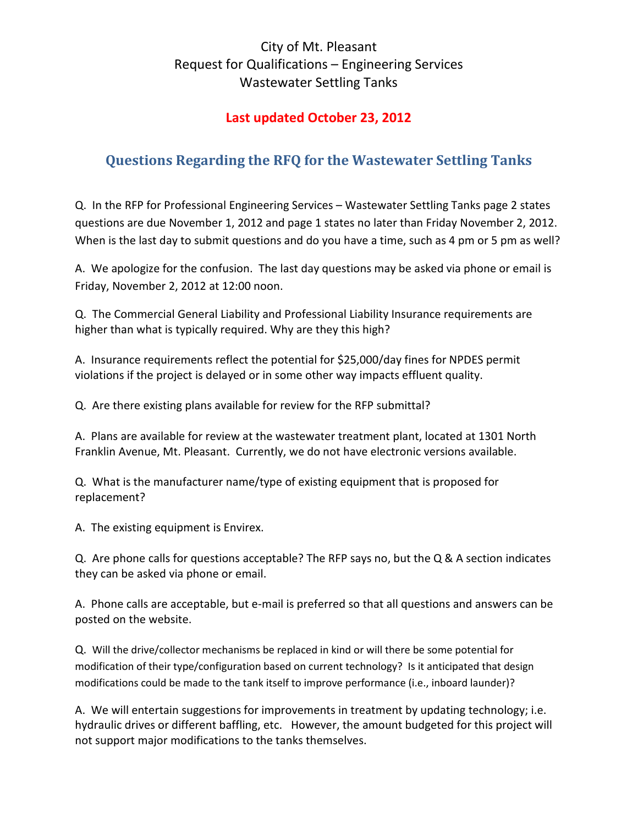## City of Mt. Pleasant Request for Qualifications – Engineering Services Wastewater Settling Tanks

### Last updated October 23, 2012

# Questions Regarding the RFQ for the Wastewater Settling Tanks

Q. In the RFP for Professional Engineering Services – Wastewater Settling Tanks page 2 states questions are due November 1, 2012 and page 1 states no later than Friday November 2, 2012. When is the last day to submit questions and do you have a time, such as 4 pm or 5 pm as well?

A. We apologize for the confusion. The last day questions may be asked via phone or email is Friday, November 2, 2012 at 12:00 noon.

Q. The Commercial General Liability and Professional Liability Insurance requirements are higher than what is typically required. Why are they this high?

A. Insurance requirements reflect the potential for \$25,000/day fines for NPDES permit violations if the project is delayed or in some other way impacts effluent quality.

Q. Are there existing plans available for review for the RFP submittal?

A. Plans are available for review at the wastewater treatment plant, located at 1301 North Franklin Avenue, Mt. Pleasant. Currently, we do not have electronic versions available.

Q. What is the manufacturer name/type of existing equipment that is proposed for replacement?

A. The existing equipment is Envirex.

Q. Are phone calls for questions acceptable? The RFP says no, but the Q & A section indicates they can be asked via phone or email.

A. Phone calls are acceptable, but e-mail is preferred so that all questions and answers can be posted on the website.

Q. Will the drive/collector mechanisms be replaced in kind or will there be some potential for modification of their type/configuration based on current technology? Is it anticipated that design modifications could be made to the tank itself to improve performance (i.e., inboard launder)?

A. We will entertain suggestions for improvements in treatment by updating technology; i.e. hydraulic drives or different baffling, etc. However, the amount budgeted for this project will not support major modifications to the tanks themselves.